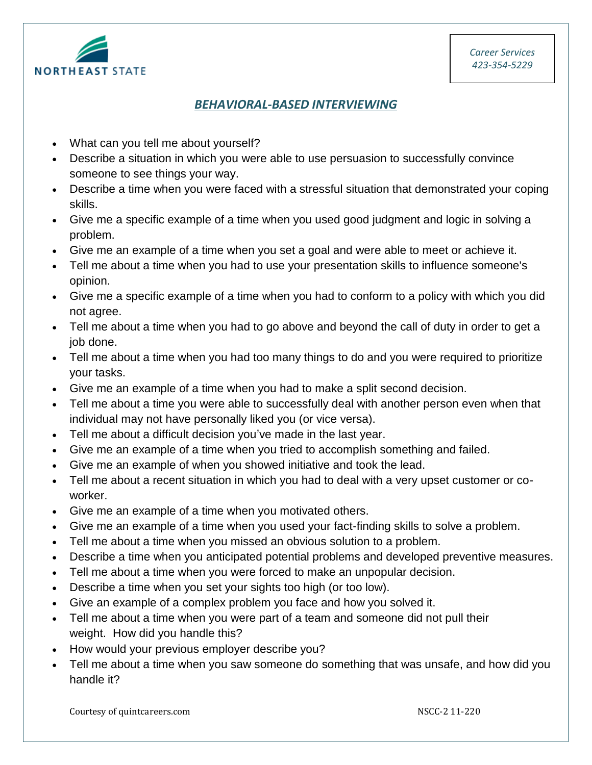

## *BEHAVIORAL-BASED INTERVIEWING*

- What can you tell me about yourself?
- Describe a situation in which you were able to use persuasion to successfully convince someone to see things your way.
- Describe a time when you were faced with a stressful situation that demonstrated your coping skills.
- Give me a specific example of a time when you used good judgment and logic in solving a problem.
- Give me an example of a time when you set a goal and were able to meet or achieve it.
- Tell me about a time when you had to use your presentation skills to influence someone's opinion.
- Give me a specific example of a time when you had to conform to a policy with which you did not agree.
- Tell me about a time when you had to go above and beyond the call of duty in order to get a job done.
- Tell me about a time when you had too many things to do and you were required to prioritize your tasks.
- Give me an example of a time when you had to make a split second decision.
- Tell me about a time you were able to successfully deal with another person even when that individual may not have personally liked you (or vice versa).
- Tell me about a difficult decision you've made in the last year.
- Give me an example of a time when you tried to accomplish something and failed.
- Give me an example of when you showed initiative and took the lead.
- Tell me about a recent situation in which you had to deal with a very upset customer or coworker.
- Give me an example of a time when you motivated others.
- Give me an example of a time when you used your fact-finding skills to solve a problem.
- Tell me about a time when you missed an obvious solution to a problem.
- Describe a time when you anticipated potential problems and developed preventive measures.
- Tell me about a time when you were forced to make an unpopular decision.
- Describe a time when you set your sights too high (or too low).
- Give an example of a complex problem you face and how you solved it.
- Tell me about a time when you were part of a team and someone did not pull their weight. How did you handle this?
- How would your previous employer describe you?
- Tell me about a time when you saw someone do something that was unsafe, and how did you handle it?

Courtesy of quintcareers.com NSCC-2 11-220